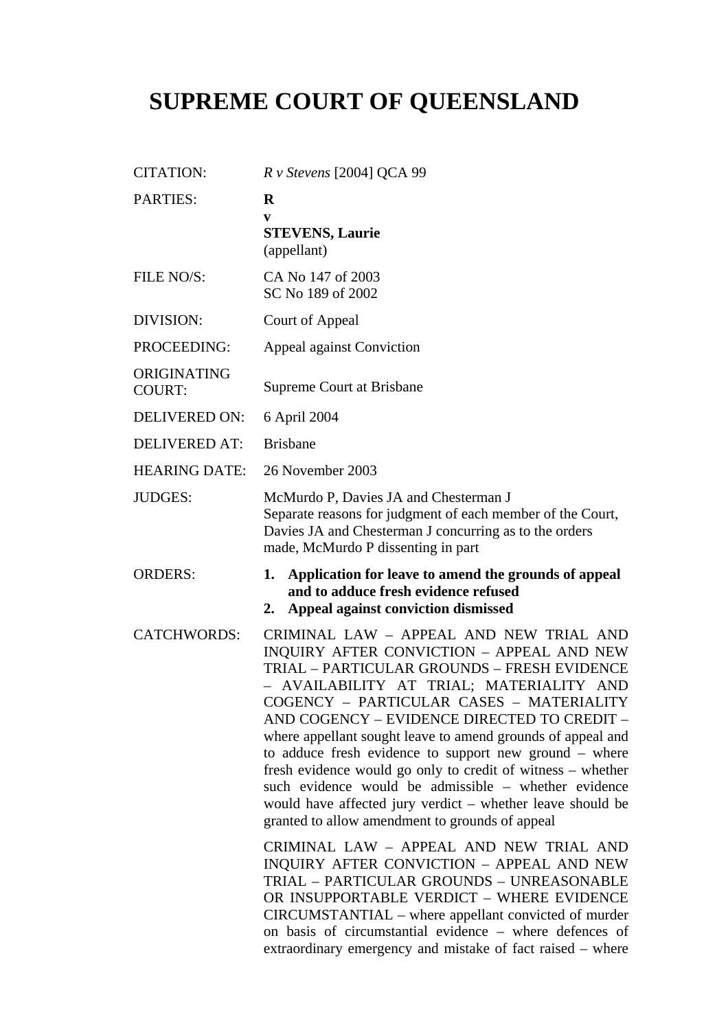# **SUPREME COURT OF QUEENSLAND**

| <b>CITATION:</b>             | $R$ v Stevens [2004] QCA 99                                                                                                                                                                                                                                                                                                                                                                                                                                                                                                                                                                                                                                                                                                                                                                                                                                                                                                                                                                                  |
|------------------------------|--------------------------------------------------------------------------------------------------------------------------------------------------------------------------------------------------------------------------------------------------------------------------------------------------------------------------------------------------------------------------------------------------------------------------------------------------------------------------------------------------------------------------------------------------------------------------------------------------------------------------------------------------------------------------------------------------------------------------------------------------------------------------------------------------------------------------------------------------------------------------------------------------------------------------------------------------------------------------------------------------------------|
| <b>PARTIES:</b>              | $\bf{R}$<br>$\mathbf{v}$<br><b>STEVENS, Laurie</b><br>(appellant)                                                                                                                                                                                                                                                                                                                                                                                                                                                                                                                                                                                                                                                                                                                                                                                                                                                                                                                                            |
| FILE NO/S:                   | CA No 147 of 2003<br>SC No 189 of 2002                                                                                                                                                                                                                                                                                                                                                                                                                                                                                                                                                                                                                                                                                                                                                                                                                                                                                                                                                                       |
| DIVISION:                    | Court of Appeal                                                                                                                                                                                                                                                                                                                                                                                                                                                                                                                                                                                                                                                                                                                                                                                                                                                                                                                                                                                              |
| PROCEEDING:                  | Appeal against Conviction                                                                                                                                                                                                                                                                                                                                                                                                                                                                                                                                                                                                                                                                                                                                                                                                                                                                                                                                                                                    |
| ORIGINATING<br><b>COURT:</b> | Supreme Court at Brisbane                                                                                                                                                                                                                                                                                                                                                                                                                                                                                                                                                                                                                                                                                                                                                                                                                                                                                                                                                                                    |
| <b>DELIVERED ON:</b>         | 6 April 2004                                                                                                                                                                                                                                                                                                                                                                                                                                                                                                                                                                                                                                                                                                                                                                                                                                                                                                                                                                                                 |
| <b>DELIVERED AT:</b>         | <b>Brisbane</b>                                                                                                                                                                                                                                                                                                                                                                                                                                                                                                                                                                                                                                                                                                                                                                                                                                                                                                                                                                                              |
| <b>HEARING DATE:</b>         | 26 November 2003                                                                                                                                                                                                                                                                                                                                                                                                                                                                                                                                                                                                                                                                                                                                                                                                                                                                                                                                                                                             |
| <b>JUDGES:</b>               | McMurdo P, Davies JA and Chesterman J<br>Separate reasons for judgment of each member of the Court,<br>Davies JA and Chesterman J concurring as to the orders<br>made, McMurdo P dissenting in part                                                                                                                                                                                                                                                                                                                                                                                                                                                                                                                                                                                                                                                                                                                                                                                                          |
| <b>ORDERS:</b>               | Application for leave to amend the grounds of appeal<br>1.<br>and to adduce fresh evidence refused<br>Appeal against conviction dismissed<br>2.                                                                                                                                                                                                                                                                                                                                                                                                                                                                                                                                                                                                                                                                                                                                                                                                                                                              |
| <b>CATCHWORDS:</b>           | CRIMINAL LAW - APPEAL AND NEW TRIAL AND<br>INQUIRY AFTER CONVICTION - APPEAL AND NEW<br>TRIAL - PARTICULAR GROUNDS - FRESH EVIDENCE<br>AVAILABILITY AT TRIAL; MATERIALITY AND<br>COGENCY - PARTICULAR CASES - MATERIALITY<br>AND COGENCY - EVIDENCE DIRECTED TO CREDIT -<br>where appellant sought leave to amend grounds of appeal and<br>to adduce fresh evidence to support new ground – where<br>fresh evidence would go only to credit of witness – whether<br>such evidence would be admissible – whether evidence<br>would have affected jury verdict - whether leave should be<br>granted to allow amendment to grounds of appeal<br>CRIMINAL LAW - APPEAL AND NEW TRIAL AND<br>INQUIRY AFTER CONVICTION - APPEAL AND NEW<br>TRIAL - PARTICULAR GROUNDS - UNREASONABLE<br>OR INSUPPORTABLE VERDICT - WHERE EVIDENCE<br>CIRCUMSTANTIAL - where appellant convicted of murder<br>on basis of circumstantial evidence – where defences of<br>extraordinary emergency and mistake of fact raised - where |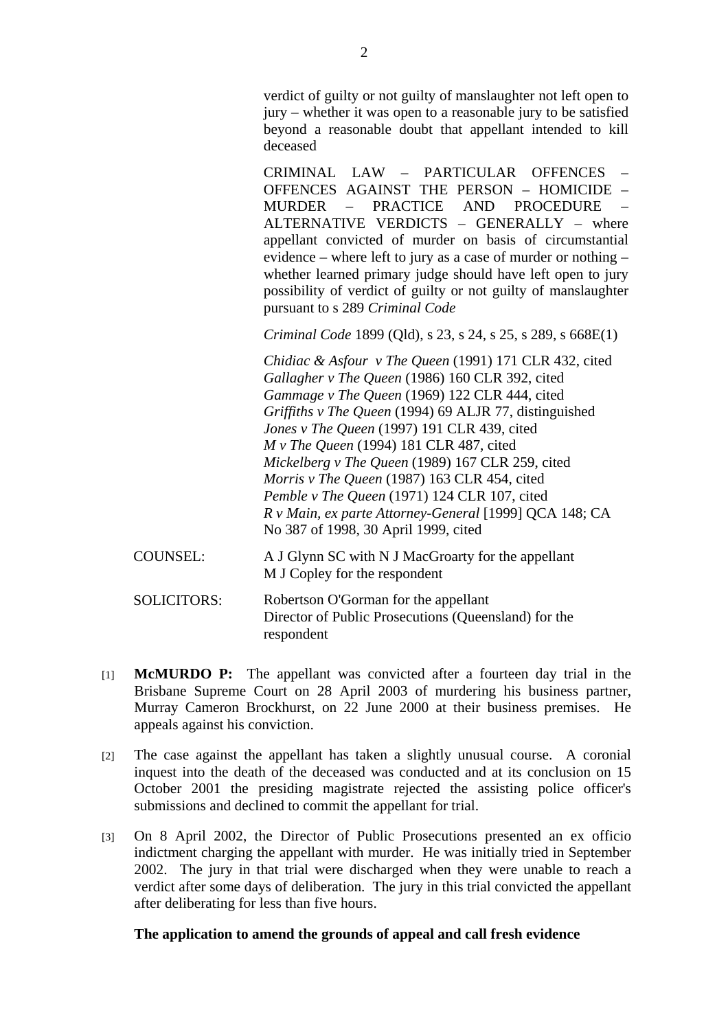verdict of guilty or not guilty of manslaughter not left open to jury – whether it was open to a reasonable jury to be satisfied beyond a reasonable doubt that appellant intended to kill deceased

CRIMINAL LAW – PARTICULAR OFFENCES – OFFENCES AGAINST THE PERSON – HOMICIDE – MURDER – PRACTICE AND PROCEDURE – ALTERNATIVE VERDICTS  $-$  GENERALLY  $-$  where appellant convicted of murder on basis of circumstantial evidence – where left to jury as a case of murder or nothing – whether learned primary judge should have left open to jury possibility of verdict of guilty or not guilty of manslaughter pursuant to s 289 *Criminal Code*

*Criminal Code* 1899 (Qld), s 23, s 24, s 25, s 289, s 668E(1)

*Chidiac & Asfour v The Queen* (1991) 171 CLR 432, cited *Gallagher v The Queen* (1986) 160 CLR 392, cited *Gammage v The Queen* (1969) 122 CLR 444, cited *Griffiths v The Queen* (1994) 69 ALJR 77, distinguished *Jones v The Queen* (1997) 191 CLR 439, cited *M v The Queen* (1994) 181 CLR 487, cited *Mickelberg v The Queen* (1989) 167 CLR 259, cited *Morris v The Queen* (1987) 163 CLR 454, cited *Pemble v The Queen* (1971) 124 CLR 107, cited *R v Main, ex parte Attorney-General* [1999] QCA 148; CA No 387 of 1998, 30 April 1999, cited

- COUNSEL: A J Glynn SC with N J MacGroarty for the appellant M J Copley for the respondent
- SOLICITORS: Robertson O'Gorman for the appellant Director of Public Prosecutions (Queensland) for the respondent
- [1] **McMURDO P:** The appellant was convicted after a fourteen day trial in the Brisbane Supreme Court on 28 April 2003 of murdering his business partner, Murray Cameron Brockhurst, on 22 June 2000 at their business premises. He appeals against his conviction.
- [2] The case against the appellant has taken a slightly unusual course. A coronial inquest into the death of the deceased was conducted and at its conclusion on 15 October 2001 the presiding magistrate rejected the assisting police officer's submissions and declined to commit the appellant for trial.
- [3] On 8 April 2002, the Director of Public Prosecutions presented an ex officio indictment charging the appellant with murder. He was initially tried in September 2002. The jury in that trial were discharged when they were unable to reach a verdict after some days of deliberation. The jury in this trial convicted the appellant after deliberating for less than five hours.

#### **The application to amend the grounds of appeal and call fresh evidence**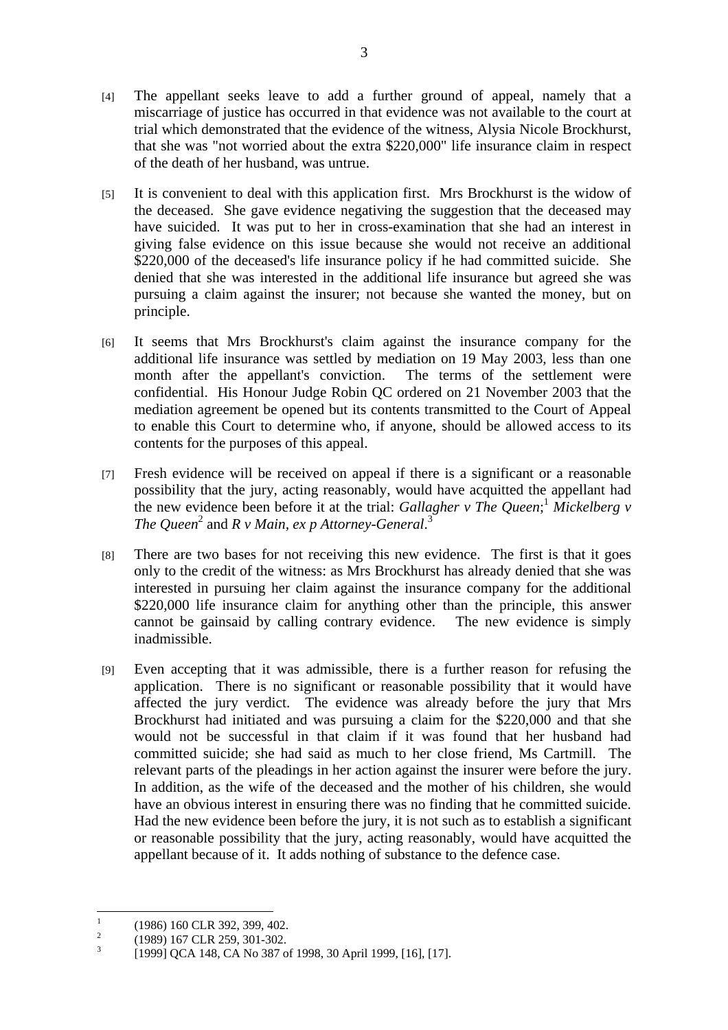- [4] The appellant seeks leave to add a further ground of appeal, namely that a miscarriage of justice has occurred in that evidence was not available to the court at trial which demonstrated that the evidence of the witness, Alysia Nicole Brockhurst, that she was "not worried about the extra \$220,000" life insurance claim in respect of the death of her husband, was untrue.
- [5] It is convenient to deal with this application first. Mrs Brockhurst is the widow of the deceased. She gave evidence negativing the suggestion that the deceased may have suicided. It was put to her in cross-examination that she had an interest in giving false evidence on this issue because she would not receive an additional \$220,000 of the deceased's life insurance policy if he had committed suicide. She denied that she was interested in the additional life insurance but agreed she was pursuing a claim against the insurer; not because she wanted the money, but on principle.
- [6] It seems that Mrs Brockhurst's claim against the insurance company for the additional life insurance was settled by mediation on 19 May 2003, less than one month after the appellant's conviction. The terms of the settlement were confidential. His Honour Judge Robin QC ordered on 21 November 2003 that the mediation agreement be opened but its contents transmitted to the Court of Appeal to enable this Court to determine who, if anyone, should be allowed access to its contents for the purposes of this appeal.
- [7] Fresh evidence will be received on appeal if there is a significant or a reasonable possibility that the jury, acting reasonably, would have acquitted the appellant had the new evidence been before it at the trial: *Gallagher v The Queen*;<sup>1</sup> Mickelberg v The Queen<sup>2</sup> and R v Main, ex p Attorney-General.<sup>3</sup>
- [8] There are two bases for not receiving this new evidence. The first is that it goes only to the credit of the witness: as Mrs Brockhurst has already denied that she was interested in pursuing her claim against the insurance company for the additional \$220,000 life insurance claim for anything other than the principle, this answer cannot be gainsaid by calling contrary evidence. The new evidence is simply inadmissible.
- [9] Even accepting that it was admissible, there is a further reason for refusing the application. There is no significant or reasonable possibility that it would have affected the jury verdict. The evidence was already before the jury that Mrs Brockhurst had initiated and was pursuing a claim for the \$220,000 and that she would not be successful in that claim if it was found that her husband had committed suicide; she had said as much to her close friend, Ms Cartmill. The relevant parts of the pleadings in her action against the insurer were before the jury. In addition, as the wife of the deceased and the mother of his children, she would have an obvious interest in ensuring there was no finding that he committed suicide. Had the new evidence been before the jury, it is not such as to establish a significant or reasonable possibility that the jury, acting reasonably, would have acquitted the appellant because of it. It adds nothing of substance to the defence case.

 $\frac{1}{1}$ (1986) 160 CLR 392, 399, 402.

 $\overline{2}$ (1989) 167 CLR 259, 301-302.

<sup>3</sup> [1999] QCA 148, CA No 387 of 1998, 30 April 1999, [16], [17].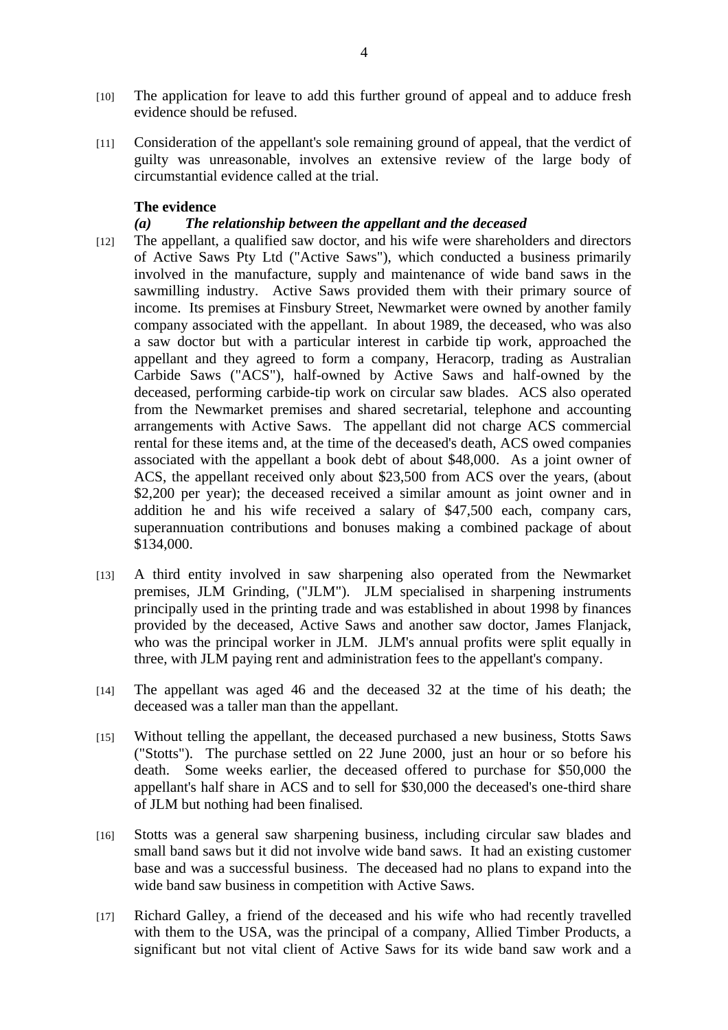- [10] The application for leave to add this further ground of appeal and to adduce fresh evidence should be refused.
- [11] Consideration of the appellant's sole remaining ground of appeal, that the verdict of guilty was unreasonable, involves an extensive review of the large body of circumstantial evidence called at the trial.

#### **The evidence**

### *(a) The relationship between the appellant and the deceased*

- [12] The appellant, a qualified saw doctor, and his wife were shareholders and directors of Active Saws Pty Ltd ("Active Saws"), which conducted a business primarily involved in the manufacture, supply and maintenance of wide band saws in the sawmilling industry. Active Saws provided them with their primary source of income. Its premises at Finsbury Street, Newmarket were owned by another family company associated with the appellant. In about 1989, the deceased, who was also a saw doctor but with a particular interest in carbide tip work, approached the appellant and they agreed to form a company, Heracorp, trading as Australian Carbide Saws ("ACS"), half-owned by Active Saws and half-owned by the deceased, performing carbide-tip work on circular saw blades. ACS also operated from the Newmarket premises and shared secretarial, telephone and accounting arrangements with Active Saws. The appellant did not charge ACS commercial rental for these items and, at the time of the deceased's death, ACS owed companies associated with the appellant a book debt of about \$48,000. As a joint owner of ACS, the appellant received only about \$23,500 from ACS over the years, (about \$2,200 per year); the deceased received a similar amount as joint owner and in addition he and his wife received a salary of \$47,500 each, company cars, superannuation contributions and bonuses making a combined package of about \$134,000.
- [13] A third entity involved in saw sharpening also operated from the Newmarket premises, JLM Grinding, ("JLM"). JLM specialised in sharpening instruments principally used in the printing trade and was established in about 1998 by finances provided by the deceased, Active Saws and another saw doctor, James Flanjack, who was the principal worker in JLM. JLM's annual profits were split equally in three, with JLM paying rent and administration fees to the appellant's company.
- [14] The appellant was aged 46 and the deceased 32 at the time of his death; the deceased was a taller man than the appellant.
- [15] Without telling the appellant, the deceased purchased a new business, Stotts Saws ("Stotts"). The purchase settled on 22 June 2000, just an hour or so before his death. Some weeks earlier, the deceased offered to purchase for \$50,000 the appellant's half share in ACS and to sell for \$30,000 the deceased's one-third share of JLM but nothing had been finalised.
- [16] Stotts was a general saw sharpening business, including circular saw blades and small band saws but it did not involve wide band saws. It had an existing customer base and was a successful business. The deceased had no plans to expand into the wide band saw business in competition with Active Saws.
- [17] Richard Galley, a friend of the deceased and his wife who had recently travelled with them to the USA, was the principal of a company, Allied Timber Products, a significant but not vital client of Active Saws for its wide band saw work and a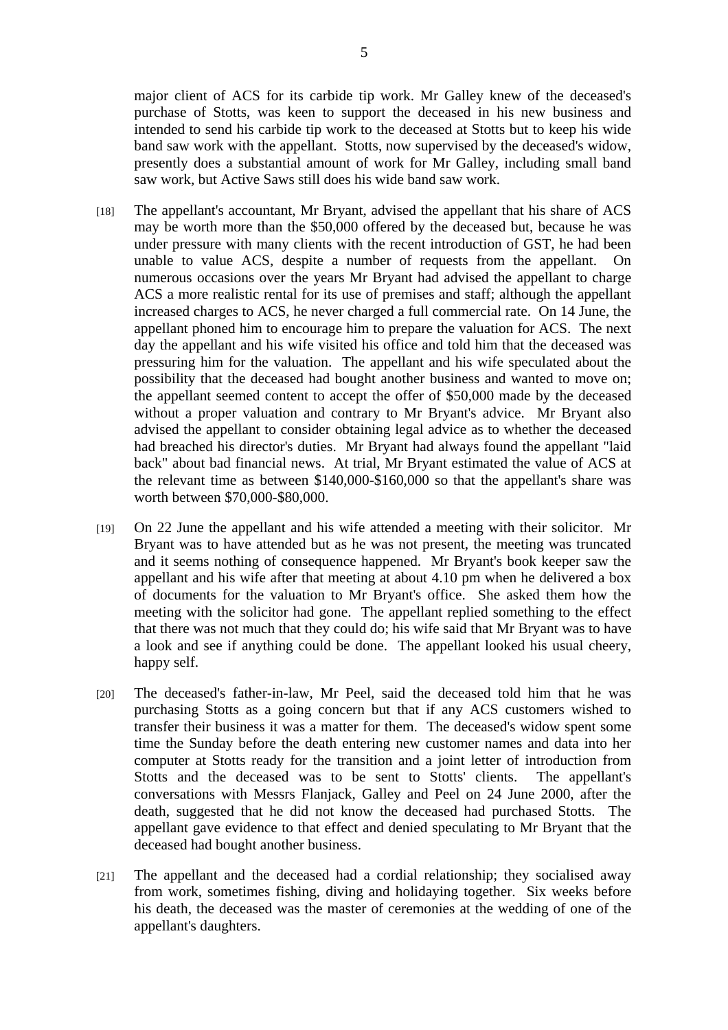major client of ACS for its carbide tip work. Mr Galley knew of the deceased's purchase of Stotts, was keen to support the deceased in his new business and intended to send his carbide tip work to the deceased at Stotts but to keep his wide band saw work with the appellant. Stotts, now supervised by the deceased's widow, presently does a substantial amount of work for Mr Galley, including small band saw work, but Active Saws still does his wide band saw work.

- [18] The appellant's accountant, Mr Bryant, advised the appellant that his share of ACS may be worth more than the \$50,000 offered by the deceased but, because he was under pressure with many clients with the recent introduction of GST, he had been unable to value ACS, despite a number of requests from the appellant. On numerous occasions over the years Mr Bryant had advised the appellant to charge ACS a more realistic rental for its use of premises and staff; although the appellant increased charges to ACS, he never charged a full commercial rate. On 14 June, the appellant phoned him to encourage him to prepare the valuation for ACS. The next day the appellant and his wife visited his office and told him that the deceased was pressuring him for the valuation. The appellant and his wife speculated about the possibility that the deceased had bought another business and wanted to move on; the appellant seemed content to accept the offer of \$50,000 made by the deceased without a proper valuation and contrary to Mr Bryant's advice. Mr Bryant also advised the appellant to consider obtaining legal advice as to whether the deceased had breached his director's duties. Mr Bryant had always found the appellant "laid back" about bad financial news. At trial, Mr Bryant estimated the value of ACS at the relevant time as between \$140,000-\$160,000 so that the appellant's share was worth between \$70,000-\$80,000.
- [19] On 22 June the appellant and his wife attended a meeting with their solicitor. Mr Bryant was to have attended but as he was not present, the meeting was truncated and it seems nothing of consequence happened. Mr Bryant's book keeper saw the appellant and his wife after that meeting at about 4.10 pm when he delivered a box of documents for the valuation to Mr Bryant's office. She asked them how the meeting with the solicitor had gone. The appellant replied something to the effect that there was not much that they could do; his wife said that Mr Bryant was to have a look and see if anything could be done. The appellant looked his usual cheery, happy self.
- [20] The deceased's father-in-law, Mr Peel, said the deceased told him that he was purchasing Stotts as a going concern but that if any ACS customers wished to transfer their business it was a matter for them. The deceased's widow spent some time the Sunday before the death entering new customer names and data into her computer at Stotts ready for the transition and a joint letter of introduction from Stotts and the deceased was to be sent to Stotts' clients. The appellant's conversations with Messrs Flanjack, Galley and Peel on 24 June 2000, after the death, suggested that he did not know the deceased had purchased Stotts. The appellant gave evidence to that effect and denied speculating to Mr Bryant that the deceased had bought another business.
- [21] The appellant and the deceased had a cordial relationship; they socialised away from work, sometimes fishing, diving and holidaying together. Six weeks before his death, the deceased was the master of ceremonies at the wedding of one of the appellant's daughters.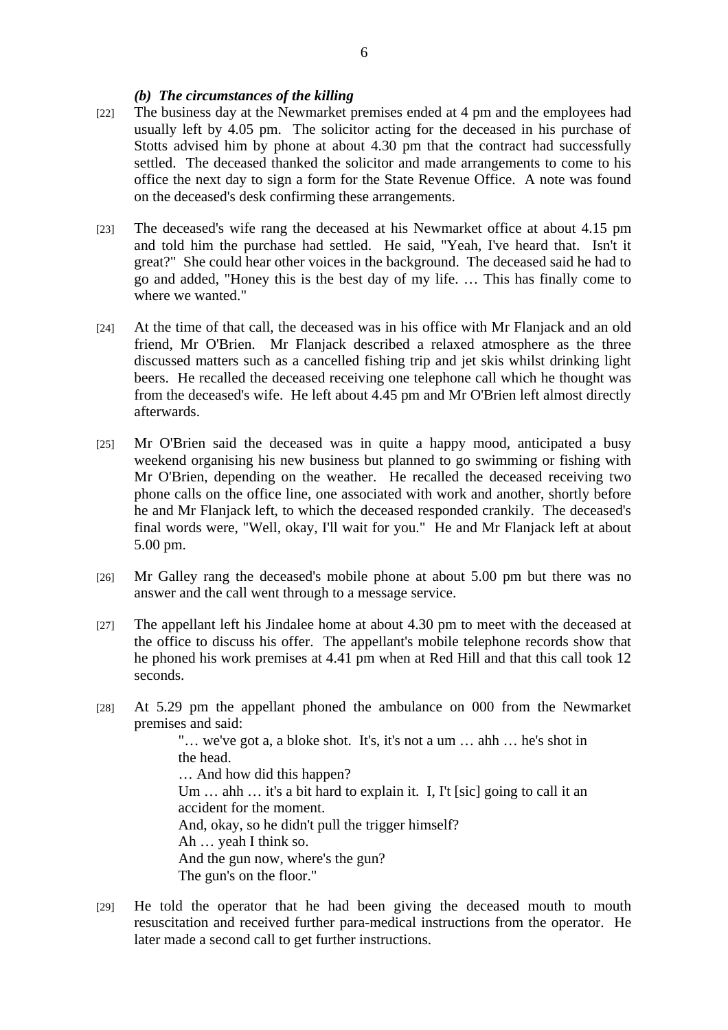#### *(b) The circumstances of the killing*

- [22] The business day at the Newmarket premises ended at 4 pm and the employees had usually left by 4.05 pm. The solicitor acting for the deceased in his purchase of Stotts advised him by phone at about 4.30 pm that the contract had successfully settled. The deceased thanked the solicitor and made arrangements to come to his office the next day to sign a form for the State Revenue Office. A note was found on the deceased's desk confirming these arrangements.
- [23] The deceased's wife rang the deceased at his Newmarket office at about 4.15 pm and told him the purchase had settled. He said, "Yeah, I've heard that. Isn't it great?" She could hear other voices in the background. The deceased said he had to go and added, "Honey this is the best day of my life. … This has finally come to where we wanted."
- [24] At the time of that call, the deceased was in his office with Mr Flanjack and an old friend, Mr O'Brien. Mr Flanjack described a relaxed atmosphere as the three discussed matters such as a cancelled fishing trip and jet skis whilst drinking light beers. He recalled the deceased receiving one telephone call which he thought was from the deceased's wife. He left about 4.45 pm and Mr O'Brien left almost directly afterwards.
- [25] Mr O'Brien said the deceased was in quite a happy mood, anticipated a busy weekend organising his new business but planned to go swimming or fishing with Mr O'Brien, depending on the weather. He recalled the deceased receiving two phone calls on the office line, one associated with work and another, shortly before he and Mr Flanjack left, to which the deceased responded crankily. The deceased's final words were, "Well, okay, I'll wait for you." He and Mr Flanjack left at about 5.00 pm.
- [26] Mr Galley rang the deceased's mobile phone at about 5.00 pm but there was no answer and the call went through to a message service.
- [27] The appellant left his Jindalee home at about 4.30 pm to meet with the deceased at the office to discuss his offer. The appellant's mobile telephone records show that he phoned his work premises at 4.41 pm when at Red Hill and that this call took 12 seconds.
- [28] At 5.29 pm the appellant phoned the ambulance on 000 from the Newmarket premises and said: "… we've got a, a bloke shot. It's, it's not a um … ahh … he's shot in the head. … And how did this happen? Um ... ahh ... it's a bit hard to explain it. I, I't [sic] going to call it an accident for the moment. And, okay, so he didn't pull the trigger himself? Ah … yeah I think so. And the gun now, where's the gun? The gun's on the floor."
- [29] He told the operator that he had been giving the deceased mouth to mouth resuscitation and received further para-medical instructions from the operator. He later made a second call to get further instructions.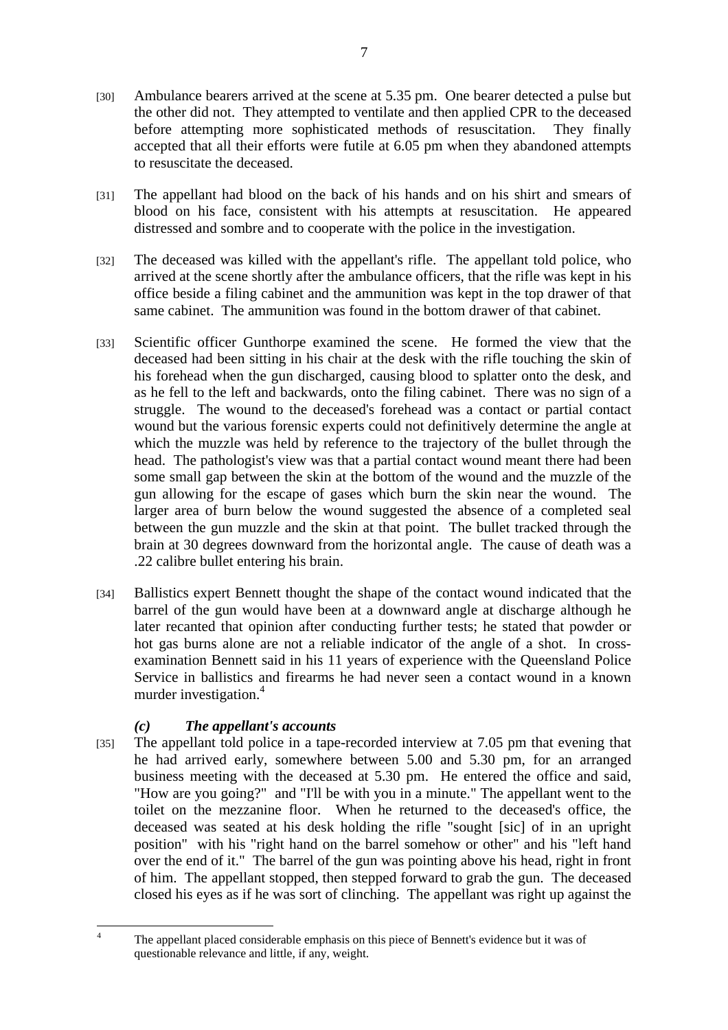- [30] Ambulance bearers arrived at the scene at 5.35 pm. One bearer detected a pulse but the other did not. They attempted to ventilate and then applied CPR to the deceased before attempting more sophisticated methods of resuscitation. They finally accepted that all their efforts were futile at 6.05 pm when they abandoned attempts to resuscitate the deceased.
- [31] The appellant had blood on the back of his hands and on his shirt and smears of blood on his face, consistent with his attempts at resuscitation. He appeared distressed and sombre and to cooperate with the police in the investigation.
- [32] The deceased was killed with the appellant's rifle. The appellant told police, who arrived at the scene shortly after the ambulance officers, that the rifle was kept in his office beside a filing cabinet and the ammunition was kept in the top drawer of that same cabinet. The ammunition was found in the bottom drawer of that cabinet.
- [33] Scientific officer Gunthorpe examined the scene. He formed the view that the deceased had been sitting in his chair at the desk with the rifle touching the skin of his forehead when the gun discharged, causing blood to splatter onto the desk, and as he fell to the left and backwards, onto the filing cabinet. There was no sign of a struggle. The wound to the deceased's forehead was a contact or partial contact wound but the various forensic experts could not definitively determine the angle at which the muzzle was held by reference to the trajectory of the bullet through the head. The pathologist's view was that a partial contact wound meant there had been some small gap between the skin at the bottom of the wound and the muzzle of the gun allowing for the escape of gases which burn the skin near the wound. The larger area of burn below the wound suggested the absence of a completed seal between the gun muzzle and the skin at that point. The bullet tracked through the brain at 30 degrees downward from the horizontal angle. The cause of death was a .22 calibre bullet entering his brain.
- [34] Ballistics expert Bennett thought the shape of the contact wound indicated that the barrel of the gun would have been at a downward angle at discharge although he later recanted that opinion after conducting further tests; he stated that powder or hot gas burns alone are not a reliable indicator of the angle of a shot. In crossexamination Bennett said in his 11 years of experience with the Queensland Police Service in ballistics and firearms he had never seen a contact wound in a known murder investigation.<sup>4</sup>

# *(c) The appellant's accounts*

[35] The appellant told police in a tape-recorded interview at 7.05 pm that evening that he had arrived early, somewhere between 5.00 and 5.30 pm, for an arranged business meeting with the deceased at 5.30 pm. He entered the office and said, "How are you going?" and "I'll be with you in a minute." The appellant went to the toilet on the mezzanine floor. When he returned to the deceased's office, the deceased was seated at his desk holding the rifle "sought [sic] of in an upright position" with his "right hand on the barrel somehow or other" and his "left hand over the end of it." The barrel of the gun was pointing above his head, right in front of him. The appellant stopped, then stepped forward to grab the gun. The deceased closed his eyes as if he was sort of clinching. The appellant was right up against the

 $\frac{1}{4}$  The appellant placed considerable emphasis on this piece of Bennett's evidence but it was of questionable relevance and little, if any, weight.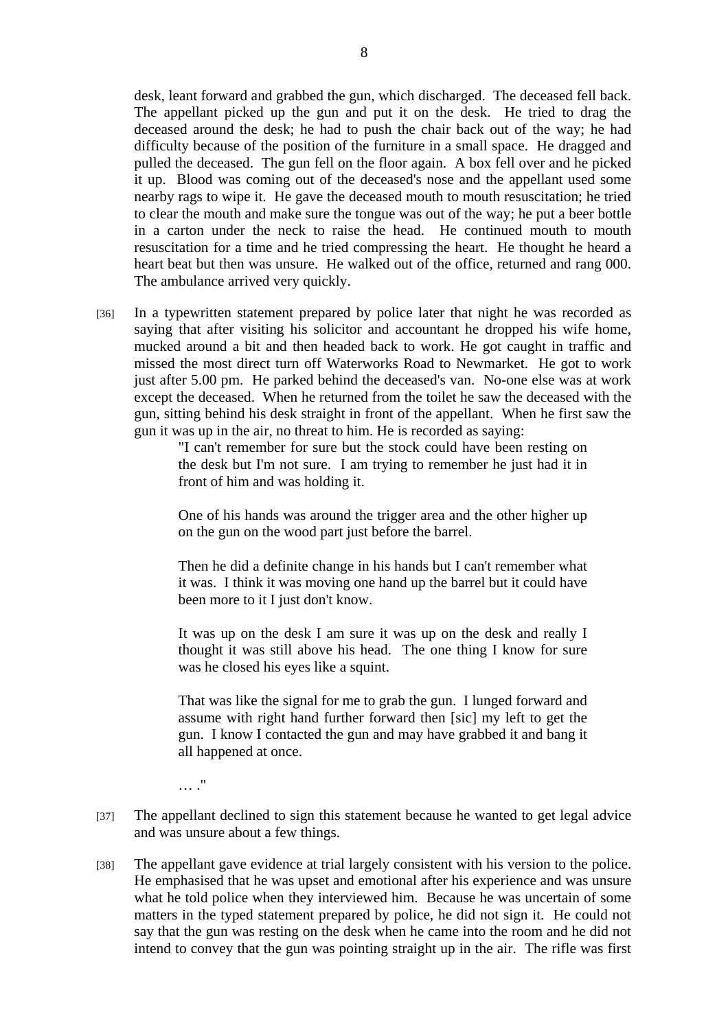desk, leant forward and grabbed the gun, which discharged. The deceased fell back. The appellant picked up the gun and put it on the desk. He tried to drag the deceased around the desk; he had to push the chair back out of the way; he had difficulty because of the position of the furniture in a small space. He dragged and pulled the deceased. The gun fell on the floor again. A box fell over and he picked it up. Blood was coming out of the deceased's nose and the appellant used some nearby rags to wipe it. He gave the deceased mouth to mouth resuscitation; he tried to clear the mouth and make sure the tongue was out of the way; he put a beer bottle in a carton under the neck to raise the head. He continued mouth to mouth resuscitation for a time and he tried compressing the heart. He thought he heard a heart beat but then was unsure. He walked out of the office, returned and rang 000. The ambulance arrived very quickly.

[36] In a typewritten statement prepared by police later that night he was recorded as saying that after visiting his solicitor and accountant he dropped his wife home, mucked around a bit and then headed back to work. He got caught in traffic and missed the most direct turn off Waterworks Road to Newmarket. He got to work just after 5.00 pm. He parked behind the deceased's van. No-one else was at work except the deceased. When he returned from the toilet he saw the deceased with the gun, sitting behind his desk straight in front of the appellant. When he first saw the gun it was up in the air, no threat to him. He is recorded as saying:

> "I can't remember for sure but the stock could have been resting on the desk but I'm not sure. I am trying to remember he just had it in front of him and was holding it.

> One of his hands was around the trigger area and the other higher up on the gun on the wood part just before the barrel.

> Then he did a definite change in his hands but I can't remember what it was. I think it was moving one hand up the barrel but it could have been more to it I just don't know.

> It was up on the desk I am sure it was up on the desk and really I thought it was still above his head. The one thing I know for sure was he closed his eyes like a squint.

> That was like the signal for me to grab the gun. I lunged forward and assume with right hand further forward then [sic] my left to get the gun. I know I contacted the gun and may have grabbed it and bang it all happened at once.

 $\ldots$  ."

- [37] The appellant declined to sign this statement because he wanted to get legal advice and was unsure about a few things.
- [38] The appellant gave evidence at trial largely consistent with his version to the police. He emphasised that he was upset and emotional after his experience and was unsure what he told police when they interviewed him. Because he was uncertain of some matters in the typed statement prepared by police, he did not sign it. He could not say that the gun was resting on the desk when he came into the room and he did not intend to convey that the gun was pointing straight up in the air. The rifle was first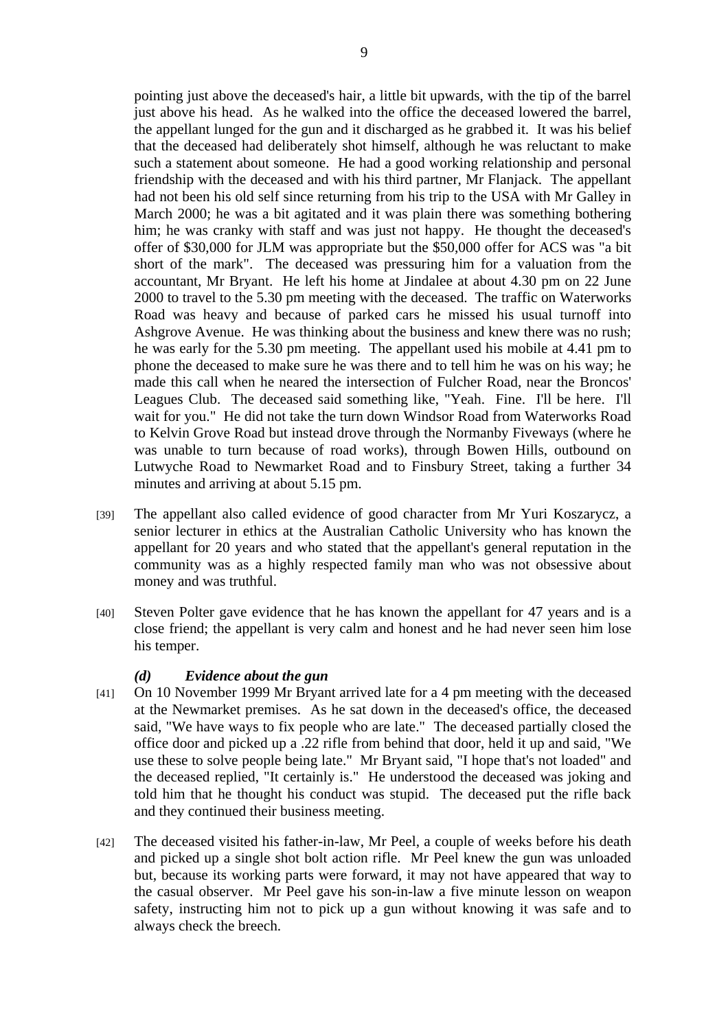pointing just above the deceased's hair, a little bit upwards, with the tip of the barrel just above his head. As he walked into the office the deceased lowered the barrel, the appellant lunged for the gun and it discharged as he grabbed it. It was his belief that the deceased had deliberately shot himself, although he was reluctant to make such a statement about someone. He had a good working relationship and personal friendship with the deceased and with his third partner, Mr Flanjack. The appellant had not been his old self since returning from his trip to the USA with Mr Galley in March 2000; he was a bit agitated and it was plain there was something bothering him; he was cranky with staff and was just not happy. He thought the deceased's offer of \$30,000 for JLM was appropriate but the \$50,000 offer for ACS was "a bit short of the mark". The deceased was pressuring him for a valuation from the accountant, Mr Bryant. He left his home at Jindalee at about 4.30 pm on 22 June 2000 to travel to the 5.30 pm meeting with the deceased. The traffic on Waterworks Road was heavy and because of parked cars he missed his usual turnoff into Ashgrove Avenue. He was thinking about the business and knew there was no rush; he was early for the 5.30 pm meeting. The appellant used his mobile at 4.41 pm to phone the deceased to make sure he was there and to tell him he was on his way; he made this call when he neared the intersection of Fulcher Road, near the Broncos' Leagues Club. The deceased said something like, "Yeah. Fine. I'll be here. I'll wait for you." He did not take the turn down Windsor Road from Waterworks Road to Kelvin Grove Road but instead drove through the Normanby Fiveways (where he was unable to turn because of road works), through Bowen Hills, outbound on Lutwyche Road to Newmarket Road and to Finsbury Street, taking a further 34 minutes and arriving at about 5.15 pm.

- [39] The appellant also called evidence of good character from Mr Yuri Koszarycz, a senior lecturer in ethics at the Australian Catholic University who has known the appellant for 20 years and who stated that the appellant's general reputation in the community was as a highly respected family man who was not obsessive about money and was truthful.
- [40] Steven Polter gave evidence that he has known the appellant for 47 years and is a close friend; the appellant is very calm and honest and he had never seen him lose his temper.

#### *(d) Evidence about the gun*

- [41] On 10 November 1999 Mr Bryant arrived late for a 4 pm meeting with the deceased at the Newmarket premises. As he sat down in the deceased's office, the deceased said, "We have ways to fix people who are late." The deceased partially closed the office door and picked up a .22 rifle from behind that door, held it up and said, "We use these to solve people being late." Mr Bryant said, "I hope that's not loaded" and the deceased replied, "It certainly is." He understood the deceased was joking and told him that he thought his conduct was stupid. The deceased put the rifle back and they continued their business meeting.
- [42] The deceased visited his father-in-law, Mr Peel, a couple of weeks before his death and picked up a single shot bolt action rifle. Mr Peel knew the gun was unloaded but, because its working parts were forward, it may not have appeared that way to the casual observer. Mr Peel gave his son-in-law a five minute lesson on weapon safety, instructing him not to pick up a gun without knowing it was safe and to always check the breech.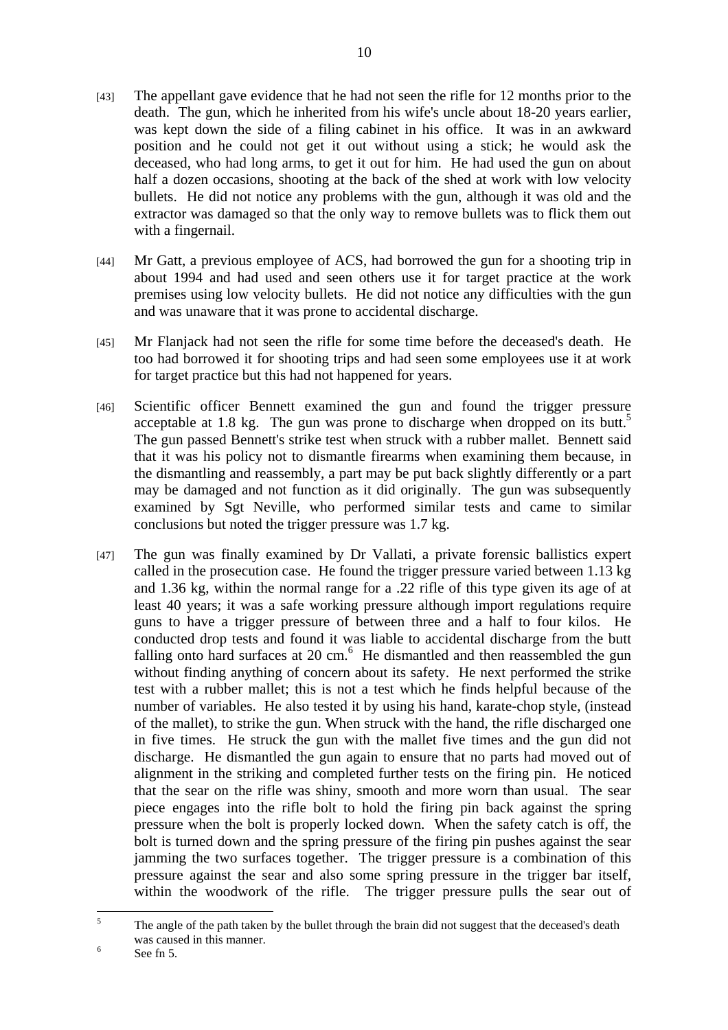- [43] The appellant gave evidence that he had not seen the rifle for 12 months prior to the death. The gun, which he inherited from his wife's uncle about 18-20 years earlier, was kept down the side of a filing cabinet in his office. It was in an awkward position and he could not get it out without using a stick; he would ask the deceased, who had long arms, to get it out for him. He had used the gun on about half a dozen occasions, shooting at the back of the shed at work with low velocity bullets. He did not notice any problems with the gun, although it was old and the extractor was damaged so that the only way to remove bullets was to flick them out with a fingernail.
- [44] Mr Gatt, a previous employee of ACS, had borrowed the gun for a shooting trip in about 1994 and had used and seen others use it for target practice at the work premises using low velocity bullets. He did not notice any difficulties with the gun and was unaware that it was prone to accidental discharge.
- [45] Mr Flanjack had not seen the rifle for some time before the deceased's death. He too had borrowed it for shooting trips and had seen some employees use it at work for target practice but this had not happened for years.
- [46] Scientific officer Bennett examined the gun and found the trigger pressure acceptable at 1.8 kg. The gun was prone to discharge when dropped on its butt.<sup>5</sup> The gun passed Bennett's strike test when struck with a rubber mallet. Bennett said that it was his policy not to dismantle firearms when examining them because, in the dismantling and reassembly, a part may be put back slightly differently or a part may be damaged and not function as it did originally. The gun was subsequently examined by Sgt Neville, who performed similar tests and came to similar conclusions but noted the trigger pressure was 1.7 kg.
- [47] The gun was finally examined by Dr Vallati, a private forensic ballistics expert called in the prosecution case. He found the trigger pressure varied between 1.13 kg and 1.36 kg, within the normal range for a .22 rifle of this type given its age of at least 40 years; it was a safe working pressure although import regulations require guns to have a trigger pressure of between three and a half to four kilos. He conducted drop tests and found it was liable to accidental discharge from the butt falling onto hard surfaces at  $20 \text{ cm}$ .<sup>6</sup> He dismantled and then reassembled the gun without finding anything of concern about its safety. He next performed the strike test with a rubber mallet; this is not a test which he finds helpful because of the number of variables. He also tested it by using his hand, karate-chop style, (instead of the mallet), to strike the gun. When struck with the hand, the rifle discharged one in five times. He struck the gun with the mallet five times and the gun did not discharge. He dismantled the gun again to ensure that no parts had moved out of alignment in the striking and completed further tests on the firing pin. He noticed that the sear on the rifle was shiny, smooth and more worn than usual. The sear piece engages into the rifle bolt to hold the firing pin back against the spring pressure when the bolt is properly locked down. When the safety catch is off, the bolt is turned down and the spring pressure of the firing pin pushes against the sear jamming the two surfaces together. The trigger pressure is a combination of this pressure against the sear and also some spring pressure in the trigger bar itself, within the woodwork of the rifle. The trigger pressure pulls the sear out of

 $\frac{1}{5}$  The angle of the path taken by the bullet through the brain did not suggest that the deceased's death was caused in this manner.

See fn 5.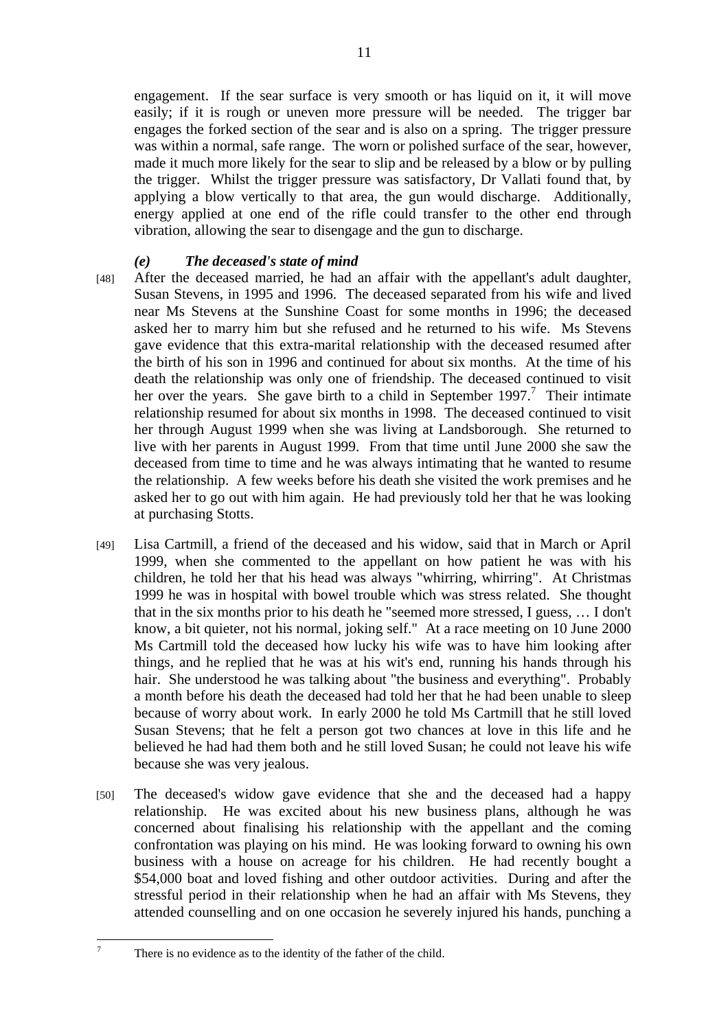engagement. If the sear surface is very smooth or has liquid on it, it will move easily; if it is rough or uneven more pressure will be needed. The trigger bar engages the forked section of the sear and is also on a spring. The trigger pressure was within a normal, safe range. The worn or polished surface of the sear, however, made it much more likely for the sear to slip and be released by a blow or by pulling the trigger. Whilst the trigger pressure was satisfactory, Dr Vallati found that, by applying a blow vertically to that area, the gun would discharge. Additionally, energy applied at one end of the rifle could transfer to the other end through vibration, allowing the sear to disengage and the gun to discharge.

### *(e) The deceased's state of mind*

- [48] After the deceased married, he had an affair with the appellant's adult daughter, Susan Stevens, in 1995 and 1996. The deceased separated from his wife and lived near Ms Stevens at the Sunshine Coast for some months in 1996; the deceased asked her to marry him but she refused and he returned to his wife. Ms Stevens gave evidence that this extra-marital relationship with the deceased resumed after the birth of his son in 1996 and continued for about six months. At the time of his death the relationship was only one of friendship. The deceased continued to visit her over the years. She gave birth to a child in September 1997.<sup>7</sup> Their intimate relationship resumed for about six months in 1998. The deceased continued to visit her through August 1999 when she was living at Landsborough. She returned to live with her parents in August 1999. From that time until June 2000 she saw the deceased from time to time and he was always intimating that he wanted to resume the relationship. A few weeks before his death she visited the work premises and he asked her to go out with him again. He had previously told her that he was looking at purchasing Stotts.
- [49] Lisa Cartmill, a friend of the deceased and his widow, said that in March or April 1999, when she commented to the appellant on how patient he was with his children, he told her that his head was always "whirring, whirring". At Christmas 1999 he was in hospital with bowel trouble which was stress related. She thought that in the six months prior to his death he "seemed more stressed, I guess, … I don't know, a bit quieter, not his normal, joking self." At a race meeting on 10 June 2000 Ms Cartmill told the deceased how lucky his wife was to have him looking after things, and he replied that he was at his wit's end, running his hands through his hair. She understood he was talking about "the business and everything". Probably a month before his death the deceased had told her that he had been unable to sleep because of worry about work. In early 2000 he told Ms Cartmill that he still loved Susan Stevens; that he felt a person got two chances at love in this life and he believed he had had them both and he still loved Susan; he could not leave his wife because she was very jealous.
- [50] The deceased's widow gave evidence that she and the deceased had a happy relationship. He was excited about his new business plans, although he was concerned about finalising his relationship with the appellant and the coming confrontation was playing on his mind. He was looking forward to owning his own business with a house on acreage for his children. He had recently bought a \$54,000 boat and loved fishing and other outdoor activities. During and after the stressful period in their relationship when he had an affair with Ms Stevens, they attended counselling and on one occasion he severely injured his hands, punching a

-<br>7

There is no evidence as to the identity of the father of the child.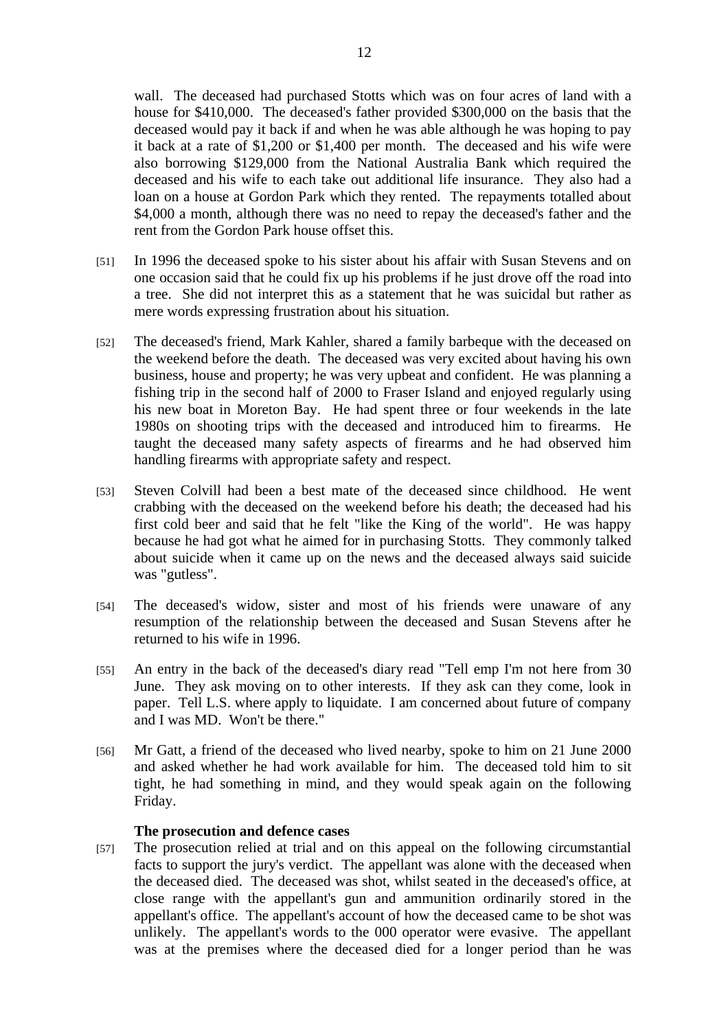wall. The deceased had purchased Stotts which was on four acres of land with a house for \$410,000. The deceased's father provided \$300,000 on the basis that the deceased would pay it back if and when he was able although he was hoping to pay it back at a rate of \$1,200 or \$1,400 per month. The deceased and his wife were also borrowing \$129,000 from the National Australia Bank which required the deceased and his wife to each take out additional life insurance. They also had a loan on a house at Gordon Park which they rented. The repayments totalled about \$4,000 a month, although there was no need to repay the deceased's father and the

[51] In 1996 the deceased spoke to his sister about his affair with Susan Stevens and on one occasion said that he could fix up his problems if he just drove off the road into a tree. She did not interpret this as a statement that he was suicidal but rather as mere words expressing frustration about his situation.

rent from the Gordon Park house offset this.

- [52] The deceased's friend, Mark Kahler, shared a family barbeque with the deceased on the weekend before the death. The deceased was very excited about having his own business, house and property; he was very upbeat and confident. He was planning a fishing trip in the second half of 2000 to Fraser Island and enjoyed regularly using his new boat in Moreton Bay. He had spent three or four weekends in the late 1980s on shooting trips with the deceased and introduced him to firearms. He taught the deceased many safety aspects of firearms and he had observed him handling firearms with appropriate safety and respect.
- [53] Steven Colvill had been a best mate of the deceased since childhood. He went crabbing with the deceased on the weekend before his death; the deceased had his first cold beer and said that he felt "like the King of the world". He was happy because he had got what he aimed for in purchasing Stotts. They commonly talked about suicide when it came up on the news and the deceased always said suicide was "gutless".
- [54] The deceased's widow, sister and most of his friends were unaware of any resumption of the relationship between the deceased and Susan Stevens after he returned to his wife in 1996.
- [55] An entry in the back of the deceased's diary read "Tell emp I'm not here from 30 June. They ask moving on to other interests. If they ask can they come, look in paper. Tell L.S. where apply to liquidate. I am concerned about future of company and I was MD. Won't be there."
- [56] Mr Gatt, a friend of the deceased who lived nearby, spoke to him on 21 June 2000 and asked whether he had work available for him. The deceased told him to sit tight, he had something in mind, and they would speak again on the following Friday.

#### **The prosecution and defence cases**

[57] The prosecution relied at trial and on this appeal on the following circumstantial facts to support the jury's verdict. The appellant was alone with the deceased when the deceased died. The deceased was shot, whilst seated in the deceased's office, at close range with the appellant's gun and ammunition ordinarily stored in the appellant's office. The appellant's account of how the deceased came to be shot was unlikely. The appellant's words to the 000 operator were evasive. The appellant was at the premises where the deceased died for a longer period than he was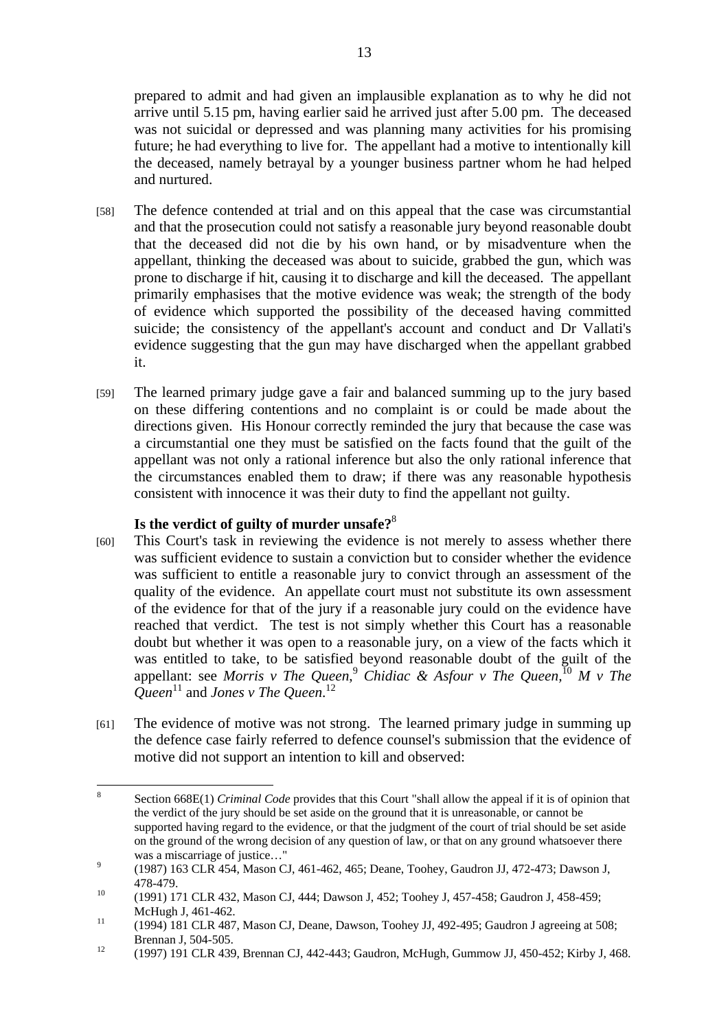prepared to admit and had given an implausible explanation as to why he did not arrive until 5.15 pm, having earlier said he arrived just after 5.00 pm. The deceased was not suicidal or depressed and was planning many activities for his promising future; he had everything to live for. The appellant had a motive to intentionally kill the deceased, namely betrayal by a younger business partner whom he had helped and nurtured.

- [58] The defence contended at trial and on this appeal that the case was circumstantial and that the prosecution could not satisfy a reasonable jury beyond reasonable doubt that the deceased did not die by his own hand, or by misadventure when the appellant, thinking the deceased was about to suicide, grabbed the gun, which was prone to discharge if hit, causing it to discharge and kill the deceased. The appellant primarily emphasises that the motive evidence was weak; the strength of the body of evidence which supported the possibility of the deceased having committed suicide; the consistency of the appellant's account and conduct and Dr Vallati's evidence suggesting that the gun may have discharged when the appellant grabbed it.
- [59] The learned primary judge gave a fair and balanced summing up to the jury based on these differing contentions and no complaint is or could be made about the directions given. His Honour correctly reminded the jury that because the case was a circumstantial one they must be satisfied on the facts found that the guilt of the appellant was not only a rational inference but also the only rational inference that the circumstances enabled them to draw; if there was any reasonable hypothesis consistent with innocence it was their duty to find the appellant not guilty.

# **Is the verdict of guilty of murder unsafe?**<sup>8</sup>

- [60] This Court's task in reviewing the evidence is not merely to assess whether there was sufficient evidence to sustain a conviction but to consider whether the evidence was sufficient to entitle a reasonable jury to convict through an assessment of the quality of the evidence. An appellate court must not substitute its own assessment of the evidence for that of the jury if a reasonable jury could on the evidence have reached that verdict. The test is not simply whether this Court has a reasonable doubt but whether it was open to a reasonable jury, on a view of the facts which it was entitled to take, to be satisfied beyond reasonable doubt of the guilt of the appellant: see *Morris v The Queen*, <sup>9</sup> *Chidiac & Asfour v The Queen*, <sup>10</sup> *M v The Queen*11 and *Jones v The Queen*. 12
- [61] The evidence of motive was not strong. The learned primary judge in summing up the defence case fairly referred to defence counsel's submission that the evidence of motive did not support an intention to kill and observed:

 8 Section 668E(1) *Criminal Code* provides that this Court "shall allow the appeal if it is of opinion that the verdict of the jury should be set aside on the ground that it is unreasonable, or cannot be supported having regard to the evidence, or that the judgment of the court of trial should be set aside on the ground of the wrong decision of any question of law, or that on any ground whatsoever there was a miscarriage of justice..."

 <sup>(1987) 163</sup> CLR 454, Mason CJ, 461-462, 465; Deane, Toohey, Gaudron JJ, 472-473; Dawson J,

<sup>478-479.&</sup>lt;br><sup>10</sup> (1991) 171 CLR 432, Mason CJ, 444; Dawson J, 452; Toohey J, 457-458; Gaudron J, 458-459;

McHugh J, 461-462.<br><sup>11</sup> (1994) 181 CLR 487, Mason CJ, Deane, Dawson, Toohey JJ, 492-495; Gaudron J agreeing at 508;

Brennan J, 504-505.<br><sup>12</sup> (1997) 191 CLR 439, Brennan CJ, 442-443; Gaudron, McHugh, Gummow JJ, 450-452; Kirby J, 468.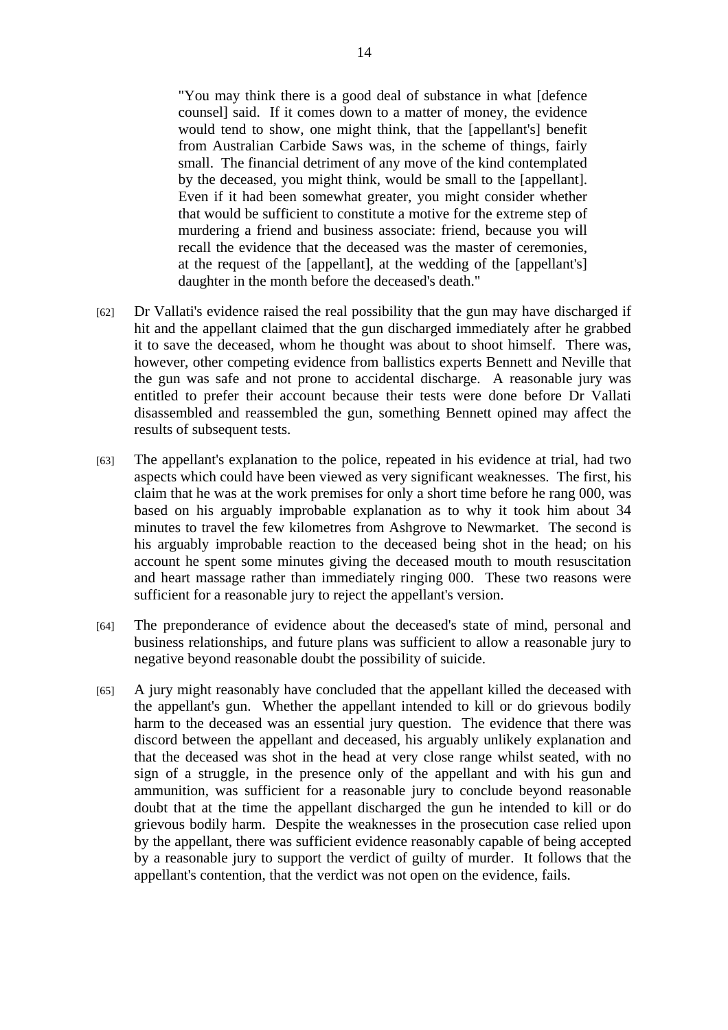"You may think there is a good deal of substance in what [defence counsel] said. If it comes down to a matter of money, the evidence would tend to show, one might think, that the [appellant's] benefit from Australian Carbide Saws was, in the scheme of things, fairly small. The financial detriment of any move of the kind contemplated by the deceased, you might think, would be small to the [appellant]. Even if it had been somewhat greater, you might consider whether that would be sufficient to constitute a motive for the extreme step of murdering a friend and business associate: friend, because you will recall the evidence that the deceased was the master of ceremonies, at the request of the [appellant], at the wedding of the [appellant's] daughter in the month before the deceased's death."

- [62] Dr Vallati's evidence raised the real possibility that the gun may have discharged if hit and the appellant claimed that the gun discharged immediately after he grabbed it to save the deceased, whom he thought was about to shoot himself. There was, however, other competing evidence from ballistics experts Bennett and Neville that the gun was safe and not prone to accidental discharge. A reasonable jury was entitled to prefer their account because their tests were done before Dr Vallati disassembled and reassembled the gun, something Bennett opined may affect the results of subsequent tests.
- [63] The appellant's explanation to the police, repeated in his evidence at trial, had two aspects which could have been viewed as very significant weaknesses. The first, his claim that he was at the work premises for only a short time before he rang 000, was based on his arguably improbable explanation as to why it took him about 34 minutes to travel the few kilometres from Ashgrove to Newmarket. The second is his arguably improbable reaction to the deceased being shot in the head; on his account he spent some minutes giving the deceased mouth to mouth resuscitation and heart massage rather than immediately ringing 000. These two reasons were sufficient for a reasonable jury to reject the appellant's version.
- [64] The preponderance of evidence about the deceased's state of mind, personal and business relationships, and future plans was sufficient to allow a reasonable jury to negative beyond reasonable doubt the possibility of suicide.
- [65] A jury might reasonably have concluded that the appellant killed the deceased with the appellant's gun. Whether the appellant intended to kill or do grievous bodily harm to the deceased was an essential jury question. The evidence that there was discord between the appellant and deceased, his arguably unlikely explanation and that the deceased was shot in the head at very close range whilst seated, with no sign of a struggle, in the presence only of the appellant and with his gun and ammunition, was sufficient for a reasonable jury to conclude beyond reasonable doubt that at the time the appellant discharged the gun he intended to kill or do grievous bodily harm. Despite the weaknesses in the prosecution case relied upon by the appellant, there was sufficient evidence reasonably capable of being accepted by a reasonable jury to support the verdict of guilty of murder. It follows that the appellant's contention, that the verdict was not open on the evidence, fails.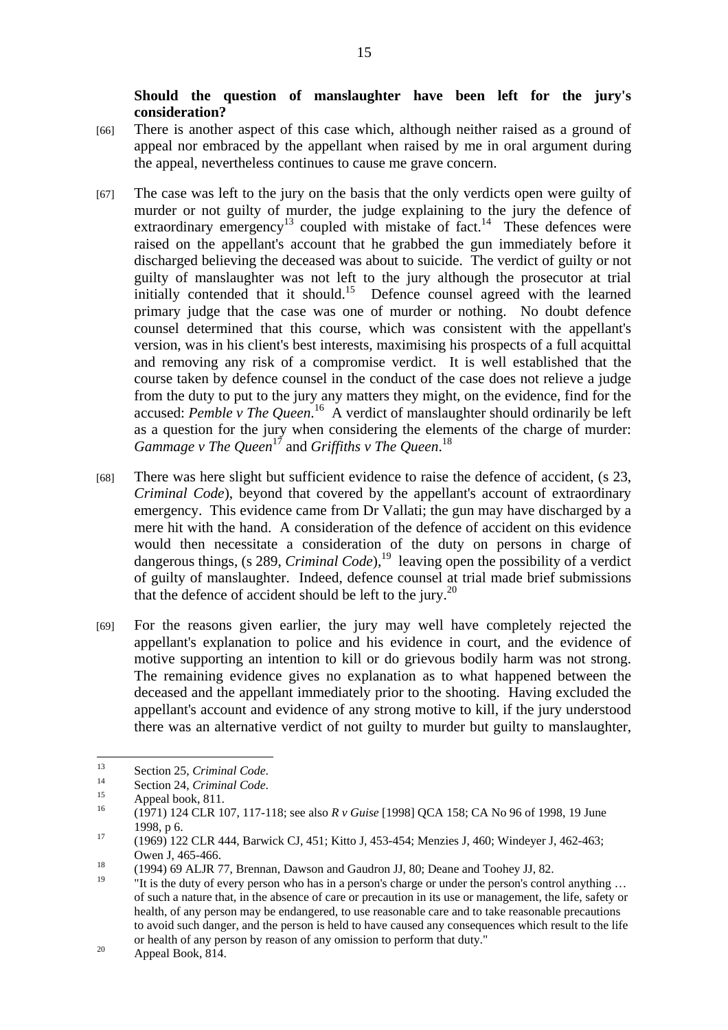**Should the question of manslaughter have been left for the jury's consideration?** 

- [66] There is another aspect of this case which, although neither raised as a ground of appeal nor embraced by the appellant when raised by me in oral argument during the appeal, nevertheless continues to cause me grave concern.
- [67] The case was left to the jury on the basis that the only verdicts open were guilty of murder or not guilty of murder, the judge explaining to the jury the defence of extraordinary emergency<sup>13</sup> coupled with mistake of fact.<sup>14</sup> These defences were raised on the appellant's account that he grabbed the gun immediately before it discharged believing the deceased was about to suicide. The verdict of guilty or not guilty of manslaughter was not left to the jury although the prosecutor at trial initially contended that it should.<sup>15</sup> Defence counsel agreed with the learned primary judge that the case was one of murder or nothing. No doubt defence counsel determined that this course, which was consistent with the appellant's version, was in his client's best interests, maximising his prospects of a full acquittal and removing any risk of a compromise verdict. It is well established that the course taken by defence counsel in the conduct of the case does not relieve a judge from the duty to put to the jury any matters they might, on the evidence, find for the accused: *Pemble v The Queen*. 16 A verdict of manslaughter should ordinarily be left as a question for the jury when considering the elements of the charge of murder: *Gammage v The Queen*17 and *Griffiths v The Queen*. 18
- [68] There was here slight but sufficient evidence to raise the defence of accident, (s 23, *Criminal Code*), beyond that covered by the appellant's account of extraordinary emergency. This evidence came from Dr Vallati; the gun may have discharged by a mere hit with the hand. A consideration of the defence of accident on this evidence would then necessitate a consideration of the duty on persons in charge of dangerous things, (s 289, *Criminal Code*),<sup>19</sup> leaving open the possibility of a verdict of guilty of manslaughter. Indeed, defence counsel at trial made brief submissions that the defence of accident should be left to the jury.<sup>20</sup>
- [69] For the reasons given earlier, the jury may well have completely rejected the appellant's explanation to police and his evidence in court, and the evidence of motive supporting an intention to kill or do grievous bodily harm was not strong. The remaining evidence gives no explanation as to what happened between the deceased and the appellant immediately prior to the shooting. Having excluded the appellant's account and evidence of any strong motive to kill, if the jury understood there was an alternative verdict of not guilty to murder but guilty to manslaughter,

<sup>13</sup> <sup>13</sup> Section 25, *Criminal Code*.<br>
<sup>14</sup> Section 24, *Criminal Code*.<br>
Appeal book, 811.<br>
<sup>16</sup> (1971) 124, 81.

<sup>16 (1971) 124</sup> CLR 107, 117-118; see also *R v Guise* [1998] QCA 158; CA No 96 of 1998, 19 June 1998, p 6.<br><sup>17</sup> (1969) 122 CLR 444, Barwick CJ, 451; Kitto J, 453-454; Menzies J, 460; Windeyer J, 462-463;

Owen J, 465-466.<br>
(1994) 69 ALJR 77, Brennan, Dawson and Gaudron JJ, 80; Deane and Toohey JJ, 82.

<sup>&</sup>quot;It is the duty of every person who has in a person's charge or under the person's control anything ... of such a nature that, in the absence of care or precaution in its use or management, the life, safety or health, of any person may be endangered, to use reasonable care and to take reasonable precautions to avoid such danger, and the person is held to have caused any consequences which result to the life or health of any person by reason of any omission to perform that duty."<br>Appeal Book, 814.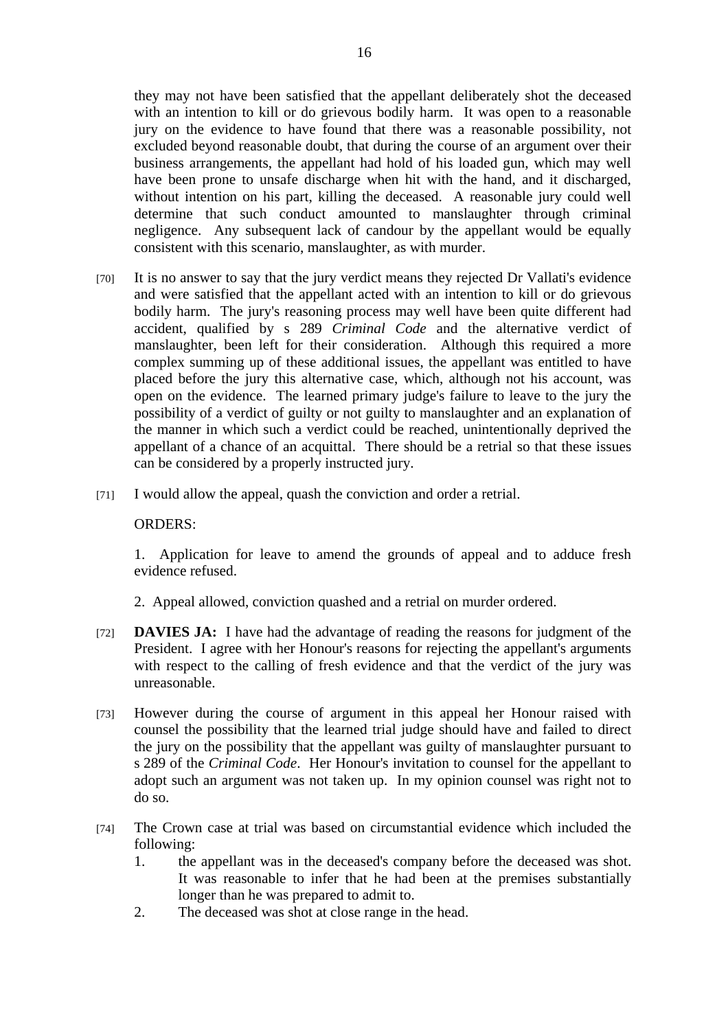they may not have been satisfied that the appellant deliberately shot the deceased with an intention to kill or do grievous bodily harm. It was open to a reasonable jury on the evidence to have found that there was a reasonable possibility, not excluded beyond reasonable doubt, that during the course of an argument over their business arrangements, the appellant had hold of his loaded gun, which may well have been prone to unsafe discharge when hit with the hand, and it discharged, without intention on his part, killing the deceased. A reasonable jury could well determine that such conduct amounted to manslaughter through criminal negligence. Any subsequent lack of candour by the appellant would be equally consistent with this scenario, manslaughter, as with murder.

- [70] It is no answer to say that the jury verdict means they rejected Dr Vallati's evidence and were satisfied that the appellant acted with an intention to kill or do grievous bodily harm. The jury's reasoning process may well have been quite different had accident, qualified by s 289 *Criminal Code* and the alternative verdict of manslaughter, been left for their consideration. Although this required a more complex summing up of these additional issues, the appellant was entitled to have placed before the jury this alternative case, which, although not his account, was open on the evidence. The learned primary judge's failure to leave to the jury the possibility of a verdict of guilty or not guilty to manslaughter and an explanation of the manner in which such a verdict could be reached, unintentionally deprived the appellant of a chance of an acquittal. There should be a retrial so that these issues can be considered by a properly instructed jury.
- [71] I would allow the appeal, quash the conviction and order a retrial.

#### ORDERS:

1. Application for leave to amend the grounds of appeal and to adduce fresh evidence refused.

2. Appeal allowed, conviction quashed and a retrial on murder ordered.

- [72] **DAVIES JA:** I have had the advantage of reading the reasons for judgment of the President. I agree with her Honour's reasons for rejecting the appellant's arguments with respect to the calling of fresh evidence and that the verdict of the jury was unreasonable.
- [73] However during the course of argument in this appeal her Honour raised with counsel the possibility that the learned trial judge should have and failed to direct the jury on the possibility that the appellant was guilty of manslaughter pursuant to s 289 of the *Criminal Code*. Her Honour's invitation to counsel for the appellant to adopt such an argument was not taken up. In my opinion counsel was right not to do so.
- [74] The Crown case at trial was based on circumstantial evidence which included the following:
	- 1. the appellant was in the deceased's company before the deceased was shot. It was reasonable to infer that he had been at the premises substantially longer than he was prepared to admit to.
	- 2. The deceased was shot at close range in the head.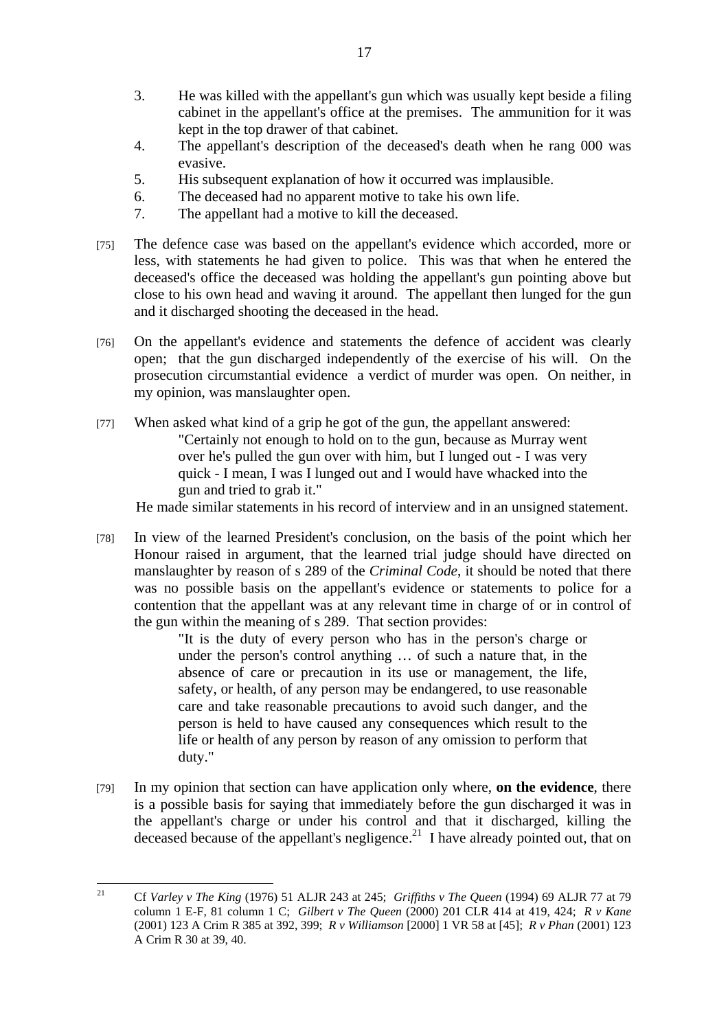- 3. He was killed with the appellant's gun which was usually kept beside a filing cabinet in the appellant's office at the premises. The ammunition for it was kept in the top drawer of that cabinet.
- 4. The appellant's description of the deceased's death when he rang 000 was evasive.
- 5. His subsequent explanation of how it occurred was implausible.
- 6. The deceased had no apparent motive to take his own life.
- 7. The appellant had a motive to kill the deceased.
- [75] The defence case was based on the appellant's evidence which accorded, more or less, with statements he had given to police. This was that when he entered the deceased's office the deceased was holding the appellant's gun pointing above but close to his own head and waving it around. The appellant then lunged for the gun and it discharged shooting the deceased in the head.
- [76] On the appellant's evidence and statements the defence of accident was clearly open; that the gun discharged independently of the exercise of his will. On the prosecution circumstantial evidence a verdict of murder was open. On neither, in my opinion, was manslaughter open.
- [77] When asked what kind of a grip he got of the gun, the appellant answered: "Certainly not enough to hold on to the gun, because as Murray went over he's pulled the gun over with him, but I lunged out - I was very quick - I mean, I was I lunged out and I would have whacked into the gun and tried to grab it."

He made similar statements in his record of interview and in an unsigned statement.

[78] In view of the learned President's conclusion, on the basis of the point which her Honour raised in argument, that the learned trial judge should have directed on manslaughter by reason of s 289 of the *Criminal Code*, it should be noted that there was no possible basis on the appellant's evidence or statements to police for a contention that the appellant was at any relevant time in charge of or in control of the gun within the meaning of s 289. That section provides:

"It is the duty of every person who has in the person's charge or under the person's control anything … of such a nature that, in the absence of care or precaution in its use or management, the life, safety, or health, of any person may be endangered, to use reasonable care and take reasonable precautions to avoid such danger, and the person is held to have caused any consequences which result to the life or health of any person by reason of any omission to perform that duty."

[79] In my opinion that section can have application only where, **on the evidence**, there is a possible basis for saying that immediately before the gun discharged it was in the appellant's charge or under his control and that it discharged, killing the deceased because of the appellant's negligence.<sup>21</sup> I have already pointed out, that on

 $21$ 21 Cf *Varley v The King* (1976) 51 ALJR 243 at 245; *Griffiths v The Queen* (1994) 69 ALJR 77 at 79 column 1 E-F, 81 column 1 C; *Gilbert v The Queen* (2000) 201 CLR 414 at 419, 424; *R v Kane* (2001) 123 A Crim R 385 at 392, 399; *R v Williamson* [2000] 1 VR 58 at [45]; *R v Phan* (2001) 123 A Crim R 30 at 39, 40.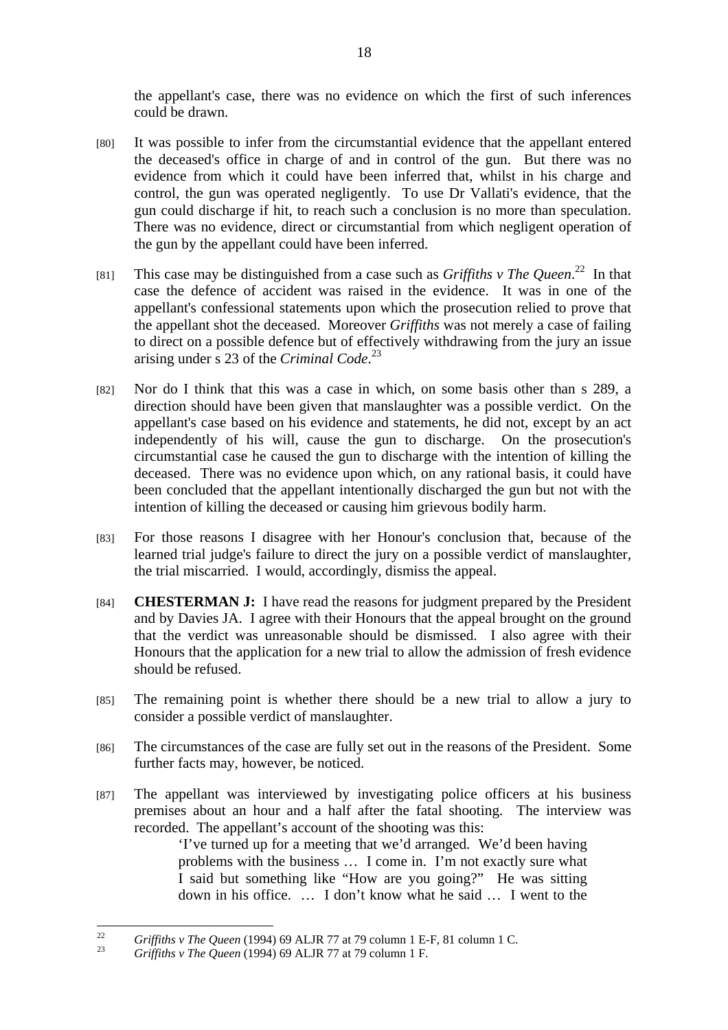the appellant's case, there was no evidence on which the first of such inferences could be drawn.

- [80] It was possible to infer from the circumstantial evidence that the appellant entered the deceased's office in charge of and in control of the gun. But there was no evidence from which it could have been inferred that, whilst in his charge and control, the gun was operated negligently. To use Dr Vallati's evidence, that the gun could discharge if hit, to reach such a conclusion is no more than speculation. There was no evidence, direct or circumstantial from which negligent operation of the gun by the appellant could have been inferred.
- [81] This case may be distinguished from a case such as *Griffiths v The Queen*.<sup>22</sup> In that case the defence of accident was raised in the evidence. It was in one of the appellant's confessional statements upon which the prosecution relied to prove that the appellant shot the deceased. Moreover *Griffiths* was not merely a case of failing to direct on a possible defence but of effectively withdrawing from the jury an issue arising under s 23 of the *Criminal Code*. 23
- [82] Nor do I think that this was a case in which, on some basis other than s 289, a direction should have been given that manslaughter was a possible verdict. On the appellant's case based on his evidence and statements, he did not, except by an act independently of his will, cause the gun to discharge. On the prosecution's circumstantial case he caused the gun to discharge with the intention of killing the deceased. There was no evidence upon which, on any rational basis, it could have been concluded that the appellant intentionally discharged the gun but not with the intention of killing the deceased or causing him grievous bodily harm.
- [83] For those reasons I disagree with her Honour's conclusion that, because of the learned trial judge's failure to direct the jury on a possible verdict of manslaughter, the trial miscarried. I would, accordingly, dismiss the appeal.
- [84] **CHESTERMAN J:** I have read the reasons for judgment prepared by the President and by Davies JA. I agree with their Honours that the appeal brought on the ground that the verdict was unreasonable should be dismissed. I also agree with their Honours that the application for a new trial to allow the admission of fresh evidence should be refused.
- [85] The remaining point is whether there should be a new trial to allow a jury to consider a possible verdict of manslaughter.
- [86] The circumstances of the case are fully set out in the reasons of the President. Some further facts may, however, be noticed.
- [87] The appellant was interviewed by investigating police officers at his business premises about an hour and a half after the fatal shooting. The interview was recorded. The appellant's account of the shooting was this:

'I've turned up for a meeting that we'd arranged. We'd been having problems with the business … I come in. I'm not exactly sure what I said but something like "How are you going?" He was sitting down in his office. … I don't know what he said … I went to the

 $22$ <sup>22</sup> *Griffiths v The Queen* (1994) 69 ALJR 77 at 79 column 1 E-F, 81 column 1 C. 23 *Griffiths v The Queen* (1994) 69 ALJR 77 at 79 column 1 F.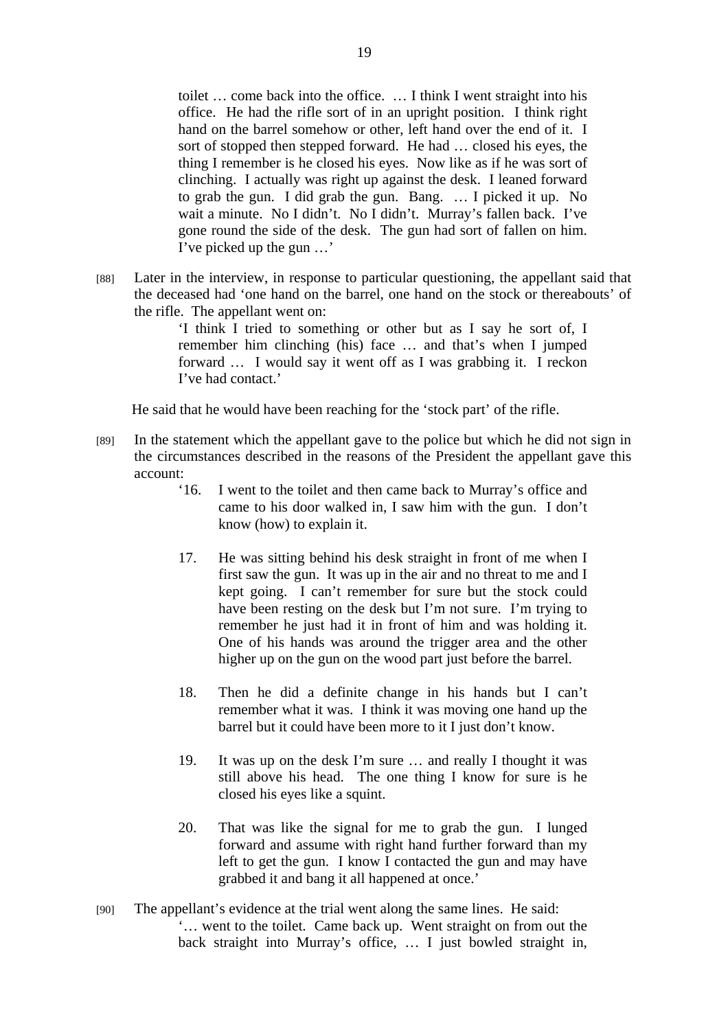toilet … come back into the office. … I think I went straight into his office. He had the rifle sort of in an upright position. I think right hand on the barrel somehow or other, left hand over the end of it. I sort of stopped then stepped forward. He had … closed his eyes, the thing I remember is he closed his eyes. Now like as if he was sort of clinching. I actually was right up against the desk. I leaned forward to grab the gun. I did grab the gun. Bang. … I picked it up. No wait a minute. No I didn't. No I didn't. Murray's fallen back. I've gone round the side of the desk. The gun had sort of fallen on him. I've picked up the gun …'

[88] Later in the interview, in response to particular questioning, the appellant said that the deceased had 'one hand on the barrel, one hand on the stock or thereabouts' of the rifle. The appellant went on:

> 'I think I tried to something or other but as I say he sort of, I remember him clinching (his) face … and that's when I jumped forward … I would say it went off as I was grabbing it. I reckon I've had contact.'

He said that he would have been reaching for the 'stock part' of the rifle.

- [89] In the statement which the appellant gave to the police but which he did not sign in the circumstances described in the reasons of the President the appellant gave this account:
	- '16. I went to the toilet and then came back to Murray's office and came to his door walked in, I saw him with the gun. I don't know (how) to explain it.
	- 17. He was sitting behind his desk straight in front of me when I first saw the gun. It was up in the air and no threat to me and I kept going. I can't remember for sure but the stock could have been resting on the desk but I'm not sure. I'm trying to remember he just had it in front of him and was holding it. One of his hands was around the trigger area and the other higher up on the gun on the wood part just before the barrel.
	- 18. Then he did a definite change in his hands but I can't remember what it was. I think it was moving one hand up the barrel but it could have been more to it I just don't know.
	- 19. It was up on the desk I'm sure … and really I thought it was still above his head. The one thing I know for sure is he closed his eyes like a squint.
	- 20. That was like the signal for me to grab the gun. I lunged forward and assume with right hand further forward than my left to get the gun. I know I contacted the gun and may have grabbed it and bang it all happened at once.'
- [90] The appellant's evidence at the trial went along the same lines. He said: '… went to the toilet. Came back up. Went straight on from out the back straight into Murray's office, … I just bowled straight in,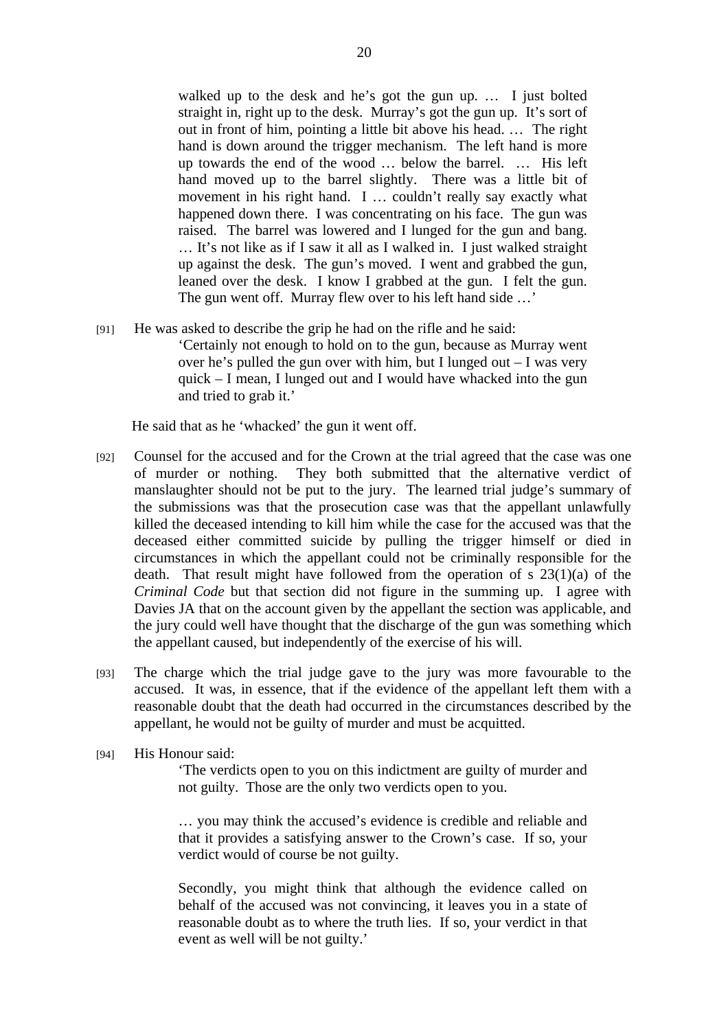walked up to the desk and he's got the gun up. … I just bolted straight in, right up to the desk. Murray's got the gun up. It's sort of out in front of him, pointing a little bit above his head. … The right hand is down around the trigger mechanism. The left hand is more up towards the end of the wood … below the barrel. … His left hand moved up to the barrel slightly. There was a little bit of movement in his right hand. I … couldn't really say exactly what happened down there. I was concentrating on his face. The gun was raised. The barrel was lowered and I lunged for the gun and bang. … It's not like as if I saw it all as I walked in. I just walked straight up against the desk. The gun's moved. I went and grabbed the gun, leaned over the desk. I know I grabbed at the gun. I felt the gun. The gun went off. Murray flew over to his left hand side …'

[91] He was asked to describe the grip he had on the rifle and he said:

'Certainly not enough to hold on to the gun, because as Murray went over he's pulled the gun over with him, but I lunged out  $-$  I was very quick – I mean, I lunged out and I would have whacked into the gun and tried to grab it.'

He said that as he 'whacked' the gun it went off.

- [92] Counsel for the accused and for the Crown at the trial agreed that the case was one of murder or nothing. They both submitted that the alternative verdict of manslaughter should not be put to the jury. The learned trial judge's summary of the submissions was that the prosecution case was that the appellant unlawfully killed the deceased intending to kill him while the case for the accused was that the deceased either committed suicide by pulling the trigger himself or died in circumstances in which the appellant could not be criminally responsible for the death. That result might have followed from the operation of s 23(1)(a) of the *Criminal Code* but that section did not figure in the summing up. I agree with Davies JA that on the account given by the appellant the section was applicable, and the jury could well have thought that the discharge of the gun was something which the appellant caused, but independently of the exercise of his will.
- [93] The charge which the trial judge gave to the jury was more favourable to the accused. It was, in essence, that if the evidence of the appellant left them with a reasonable doubt that the death had occurred in the circumstances described by the appellant, he would not be guilty of murder and must be acquitted.
- [94] His Honour said:

'The verdicts open to you on this indictment are guilty of murder and not guilty. Those are the only two verdicts open to you.

… you may think the accused's evidence is credible and reliable and that it provides a satisfying answer to the Crown's case. If so, your verdict would of course be not guilty.

Secondly, you might think that although the evidence called on behalf of the accused was not convincing, it leaves you in a state of reasonable doubt as to where the truth lies. If so, your verdict in that event as well will be not guilty.'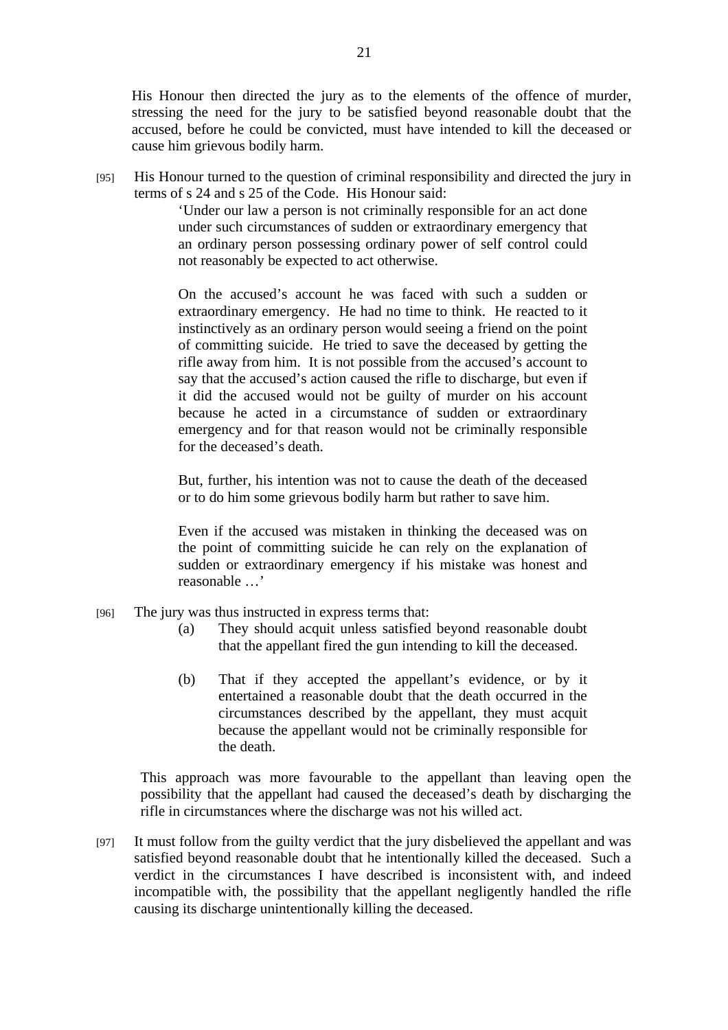His Honour then directed the jury as to the elements of the offence of murder, stressing the need for the jury to be satisfied beyond reasonable doubt that the accused, before he could be convicted, must have intended to kill the deceased or cause him grievous bodily harm.

[95] His Honour turned to the question of criminal responsibility and directed the jury in terms of s 24 and s 25 of the Code. His Honour said:

> 'Under our law a person is not criminally responsible for an act done under such circumstances of sudden or extraordinary emergency that an ordinary person possessing ordinary power of self control could not reasonably be expected to act otherwise.

> On the accused's account he was faced with such a sudden or extraordinary emergency. He had no time to think. He reacted to it instinctively as an ordinary person would seeing a friend on the point of committing suicide. He tried to save the deceased by getting the rifle away from him. It is not possible from the accused's account to say that the accused's action caused the rifle to discharge, but even if it did the accused would not be guilty of murder on his account because he acted in a circumstance of sudden or extraordinary emergency and for that reason would not be criminally responsible for the deceased's death.

> But, further, his intention was not to cause the death of the deceased or to do him some grievous bodily harm but rather to save him.

> Even if the accused was mistaken in thinking the deceased was on the point of committing suicide he can rely on the explanation of sudden or extraordinary emergency if his mistake was honest and reasonable …'

- [96] The jury was thus instructed in express terms that:
	- (a) They should acquit unless satisfied beyond reasonable doubt that the appellant fired the gun intending to kill the deceased.
	- (b) That if they accepted the appellant's evidence, or by it entertained a reasonable doubt that the death occurred in the circumstances described by the appellant, they must acquit because the appellant would not be criminally responsible for the death.

This approach was more favourable to the appellant than leaving open the possibility that the appellant had caused the deceased's death by discharging the rifle in circumstances where the discharge was not his willed act.

[97] It must follow from the guilty verdict that the jury disbelieved the appellant and was satisfied beyond reasonable doubt that he intentionally killed the deceased. Such a verdict in the circumstances I have described is inconsistent with, and indeed incompatible with, the possibility that the appellant negligently handled the rifle causing its discharge unintentionally killing the deceased.